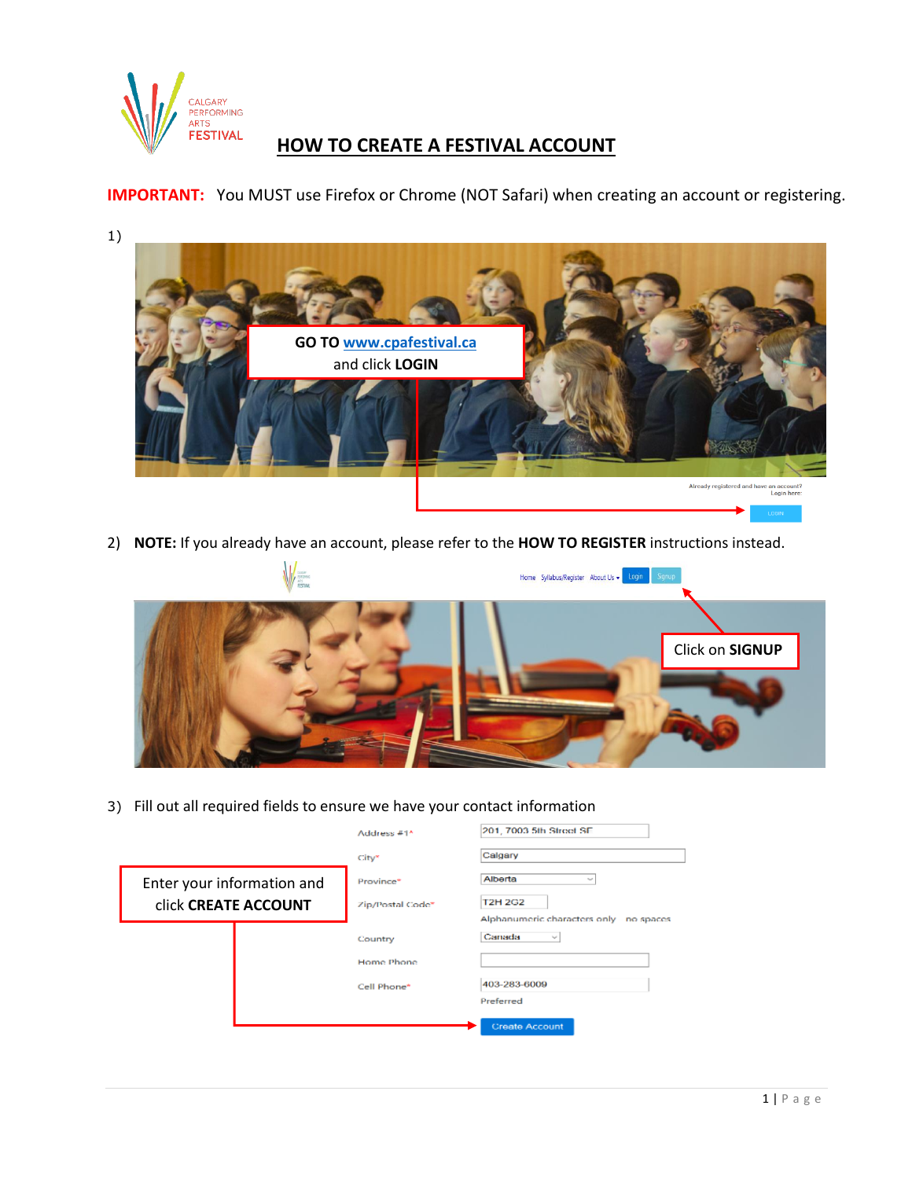

## **HOW TO CREATE A FESTIVAL ACCOUNT**

**IMPORTANT:** You MUST use Firefox or Chrome (NOT Safari) when creating an account or registering.

- 1)
- **GO T[O www.cpafestival.ca](http://www.cpafestival.ca/)** and click **LOGIN**Already registered and have an account?<br>Login here:
- 2) **NOTE:** If you already have an account, please refer to the **HOW TO REGISTER** instructions instead.



3) Fill out all required fields to ensure we have your contact information

|                                                    | Address #1^                   | 201, 7003 5th Street SE                   |
|----------------------------------------------------|-------------------------------|-------------------------------------------|
|                                                    | City*                         | Calgary                                   |
| Enter your information and<br>click CREATE ACCOUNT | Province*<br>Zip/Postal Code" | Alberta<br>$\sim$<br><b>T2H 2G2</b>       |
|                                                    |                               | Alphanumeric characters only<br>no spaces |
|                                                    | Country                       | Canada<br>$\mathcal{L}_{\mathbf{p}}$      |
|                                                    | Home Phone                    |                                           |
|                                                    | Cell Phone*                   | 403-283-6009                              |
|                                                    |                               | Preferred                                 |
|                                                    |                               | <b>Create Account</b>                     |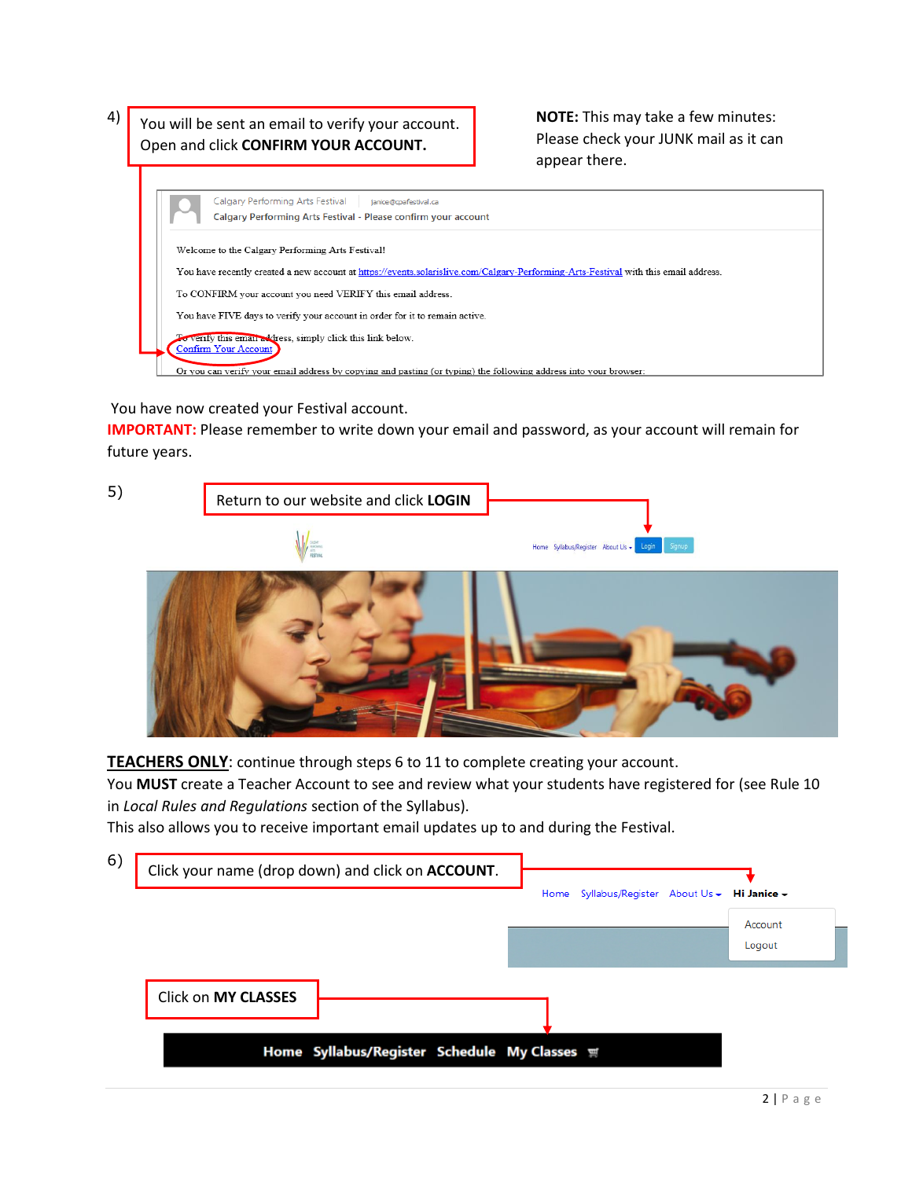4) You will be sent an email to verify your account. NOTE: This may take a few minutes: Open and click **CONFIRM YOUR ACCOUNT.**

Please check your JUNK mail as it can appear there.



You have now created your Festival account.

**IMPORTANT:** Please remember to write down your email and password, as your account will remain for future years.



**TEACHERS ONLY**: continue through steps 6 to 11 to complete creating your account.

You **MUST** create a Teacher Account to see and review what your students have registered for (see Rule 10 in *Local Rules and Regulations* section of the Syllabus).

This also allows you to receive important email updates up to and during the Festival.